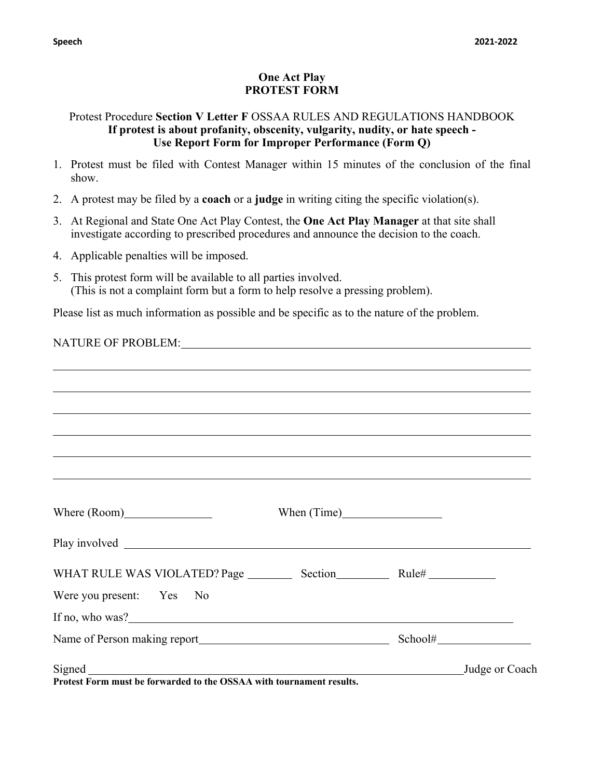## **One Act Play PROTEST FORM**

## Protest Procedure **Section V Letter F** OSSAA RULES AND REGULATIONS HANDBOOK **If protest is about profanity, obscenity, vulgarity, nudity, or hate speech - Use Report Form for Improper Performance (Form Q)**

- 1. Protest must be filed with Contest Manager within 15 minutes of the conclusion of the final show.
- 2. A protest may be filed by a **coach** or a **judge** in writing citing the specific violation(s).
- 3. At Regional and State One Act Play Contest, the **One Act Play Manager** at that site shall investigate according to prescribed procedures and announce the decision to the coach.
- 4. Applicable penalties will be imposed.
- 5. This protest form will be available to all parties involved. (This is not a complaint form but a form to help resolve a pressing problem).

Please list as much information as possible and be specific as to the nature of the problem.

| ,我们也不会有什么。""我们的人,我们也不会有什么?""我们的人,我们也不会有什么?""我们的人,我们也不会有什么?""我们的人,我们也不会有什么?""我们的人                                       |  |
|------------------------------------------------------------------------------------------------------------------------|--|
|                                                                                                                        |  |
|                                                                                                                        |  |
| <u> 1989 - Andrea San Andrea San Andrea San Andrea San Andrea San Andrea San Andrea San Andrea San Andrea San Andr</u> |  |
| ,我们也不会有什么。""我们的人,我们也不会有什么?""我们的人,我们也不会有什么?""我们的人,我们也不会有什么?""我们的人,我们也不会有什么?""我们的人                                       |  |
| ,我们也不会有什么?""我们的人,我们也不会有什么?""我们的人,我们也不会有什么?""我们的人,我们也不会有什么?""我们的人,我们也不会有什么?""我们的人                                       |  |
|                                                                                                                        |  |
|                                                                                                                        |  |
|                                                                                                                        |  |
|                                                                                                                        |  |
|                                                                                                                        |  |
| Were you present: Yes No                                                                                               |  |
|                                                                                                                        |  |
|                                                                                                                        |  |
| Judge or Coach<br><b>Ductor Form must be forwarded to the OSSAA</b> with townsment negulia                             |  |

**Protest Form must be forwarded to the OSSAA with tournament results.**